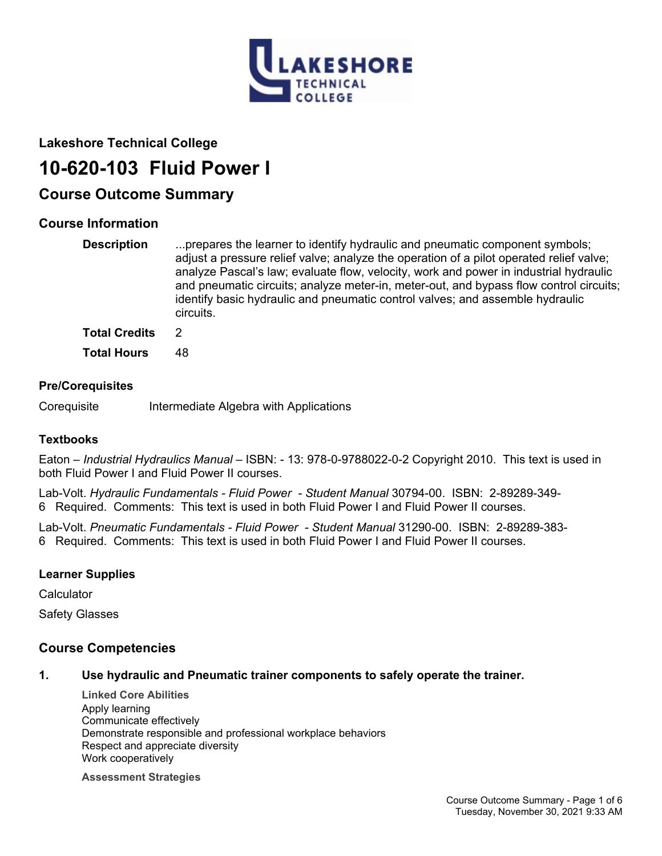

# **Lakeshore Technical College**

# **10-620-103 Fluid Power I**

# **Course Outcome Summary**

# **Course Information**

| <b>Description</b>   | prepares the learner to identify hydraulic and pneumatic component symbols;<br>adjust a pressure relief valve; analyze the operation of a pilot operated relief valve;<br>analyze Pascal's law; evaluate flow, velocity, work and power in industrial hydraulic<br>and pneumatic circuits; analyze meter-in, meter-out, and bypass flow control circuits;<br>identify basic hydraulic and pneumatic control valves; and assemble hydraulic<br>circuits. |
|----------------------|---------------------------------------------------------------------------------------------------------------------------------------------------------------------------------------------------------------------------------------------------------------------------------------------------------------------------------------------------------------------------------------------------------------------------------------------------------|
| <b>Total Credits</b> | 2                                                                                                                                                                                                                                                                                                                                                                                                                                                       |
|                      |                                                                                                                                                                                                                                                                                                                                                                                                                                                         |

**Total Hours** 48

## **Pre/Corequisites**

Corequisite Intermediate Algebra with Applications

## **Textbooks**

Eaton – *Industrial Hydraulics Manual* – ISBN: - 13: 978-0-9788022-0-2 Copyright 2010. This text is used in both Fluid Power I and Fluid Power II courses.

Lab-Volt. *Hydraulic Fundamentals - Fluid Power - Student Manual* 30794-00. ISBN: 2-89289-349- 6 Required. Comments: This text is used in both Fluid Power I and Fluid Power II courses.

Lab-Volt. *Pneumatic Fundamentals - Fluid Power - Student Manual* 31290-00. ISBN: 2-89289-383- 6 Required. Comments: This text is used in both Fluid Power I and Fluid Power II courses.

## **Learner Supplies**

**Calculator** 

Safety Glasses

# **Course Competencies**

## **1. Use hydraulic and Pneumatic trainer components to safely operate the trainer.**

**Linked Core Abilities** Apply learning Communicate effectively Demonstrate responsible and professional workplace behaviors Respect and appreciate diversity Work cooperatively

**Assessment Strategies**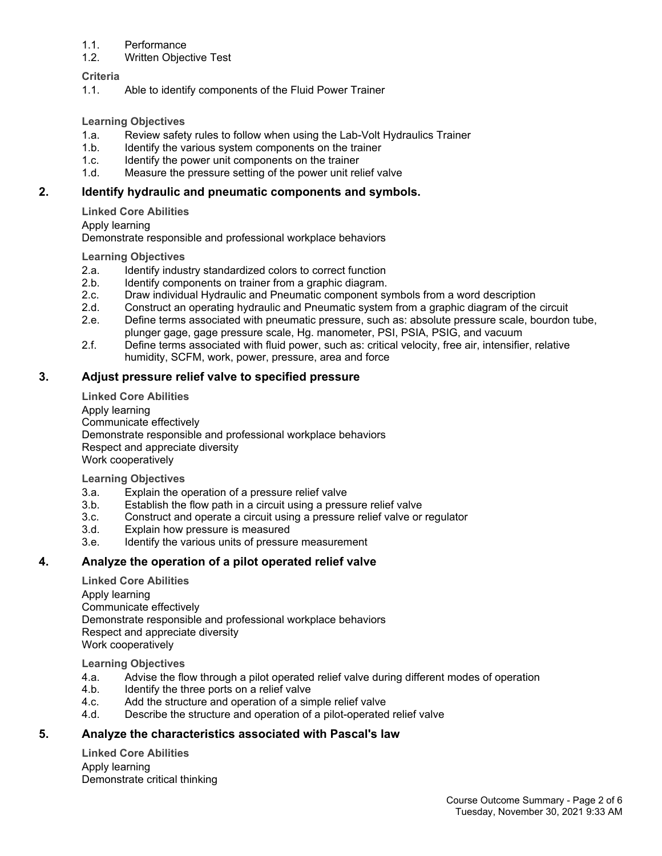#### 1.1. Performance

#### 1.2. Written Objective Test

#### **Criteria**

1.1. Able to identify components of the Fluid Power Trainer

#### **Learning Objectives**

- 1.a. Review safety rules to follow when using the Lab-Volt Hydraulics Trainer
- 1.b. Identify the various system components on the trainer
- 1.c. Identify the power unit components on the trainer
- 1.d. Measure the pressure setting of the power unit relief valve

#### **2. Identify hydraulic and pneumatic components and symbols.**

**Linked Core Abilities**

Apply learning

Demonstrate responsible and professional workplace behaviors

#### **Learning Objectives**

- 2.a. Identify industry standardized colors to correct function
- 2.b. Identify components on trainer from a graphic diagram.
- 
- 2.c. Draw individual Hydraulic and Pneumatic component symbols from a word description<br>2.d. Construct an operating hydraulic and Pneumatic system from a graphic diagram of the 2.d. Construct an operating hydraulic and Pneumatic system from a graphic diagram of the circuit
- 2.e. Define terms associated with pneumatic pressure, such as: absolute pressure scale, bourdon tube, plunger gage, gage pressure scale, Hg. manometer, PSI, PSIA, PSIG, and vacuum
- 2.f. Define terms associated with fluid power, such as: critical velocity, free air, intensifier, relative humidity, SCFM, work, power, pressure, area and force

#### **3. Adjust pressure relief valve to specified pressure**

**Linked Core Abilities** Apply learning Communicate effectively Demonstrate responsible and professional workplace behaviors Respect and appreciate diversity Work cooperatively

**Learning Objectives**

- 3.a. Explain the operation of a pressure relief valve
- 3.b. Establish the flow path in a circuit using a pressure relief valve
- 3.c. Construct and operate a circuit using a pressure relief valve or regulator
- 3.d. Explain how pressure is measured
- 3.e. Identify the various units of pressure measurement

#### **4. Analyze the operation of a pilot operated relief valve**

**Linked Core Abilities** Apply learning Communicate effectively Demonstrate responsible and professional workplace behaviors Respect and appreciate diversity Work cooperatively

**Learning Objectives**

- 4.a. Advise the flow through a pilot operated relief valve during different modes of operation<br>4.b. Identify the three ports on a relief valve
- Identify the three ports on a relief valve
- 4.c. Add the structure and operation of a simple relief valve
- 4.d. Describe the structure and operation of a pilot-operated relief valve

#### **5. Analyze the characteristics associated with Pascal's law**

**Linked Core Abilities** Apply learning Demonstrate critical thinking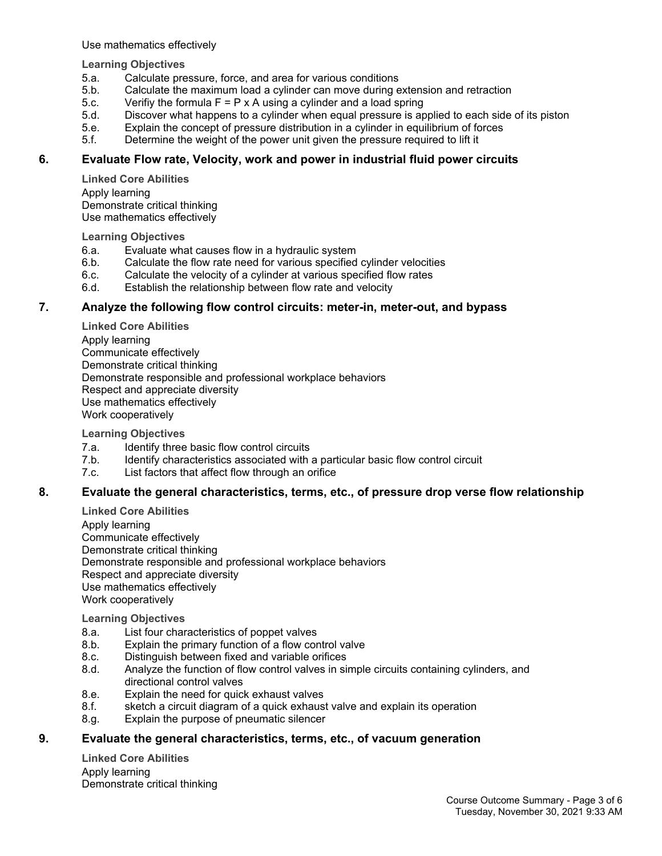Use mathematics effectively

**Learning Objectives**

- 5.a. Calculate pressure, force, and area for various conditions
- 5.b. Calculate the maximum load a cylinder can move during extension and retraction
- 5.c. Verifiy the formula  $F = P \times A$  using a cylinder and a load spring
- 5.d. Discover what happens to a cylinder when equal pressure is applied to each side of its piston
- 5.e. Explain the concept of pressure distribution in a cylinder in equilibrium of forces
- 5.f. Determine the weight of the power unit given the pressure required to lift it

#### **6. Evaluate Flow rate, Velocity, work and power in industrial fluid power circuits**

**Linked Core Abilities** Apply learning Demonstrate critical thinking Use mathematics effectively

**Learning Objectives**

- 6.a. Evaluate what causes flow in a hydraulic system
- 6.b. Calculate the flow rate need for various specified cylinder velocities
- 6.c. Calculate the velocity of a cylinder at various specified flow rates
- 6.d. Establish the relationship between flow rate and velocity

#### **7. Analyze the following flow control circuits: meter-in, meter-out, and bypass**

**Linked Core Abilities** Apply learning Communicate effectively Demonstrate critical thinking Demonstrate responsible and professional workplace behaviors Respect and appreciate diversity Use mathematics effectively Work cooperatively

**Learning Objectives**

- 7.a. Identify three basic flow control circuits
- 7.b. Identify characteristics associated with a particular basic flow control circuit
- 7.c. List factors that affect flow through an orifice

#### **8. Evaluate the general characteristics, terms, etc., of pressure drop verse flow relationship**

**Linked Core Abilities** Apply learning Communicate effectively Demonstrate critical thinking Demonstrate responsible and professional workplace behaviors Respect and appreciate diversity Use mathematics effectively Work cooperatively

**Learning Objectives**

- 8.a. List four characteristics of poppet valves
- 8.b. Explain the primary function of a flow control valve
- 8.c. Distinguish between fixed and variable orifices
- 8.d. Analyze the function of flow control valves in simple circuits containing cylinders, and directional control valves
- 8.e. Explain the need for quick exhaust valves
- 8.f. sketch a circuit diagram of a quick exhaust valve and explain its operation
- 8.g. Explain the purpose of pneumatic silencer

#### **9. Evaluate the general characteristics, terms, etc., of vacuum generation**

**Linked Core Abilities** Apply learning Demonstrate critical thinking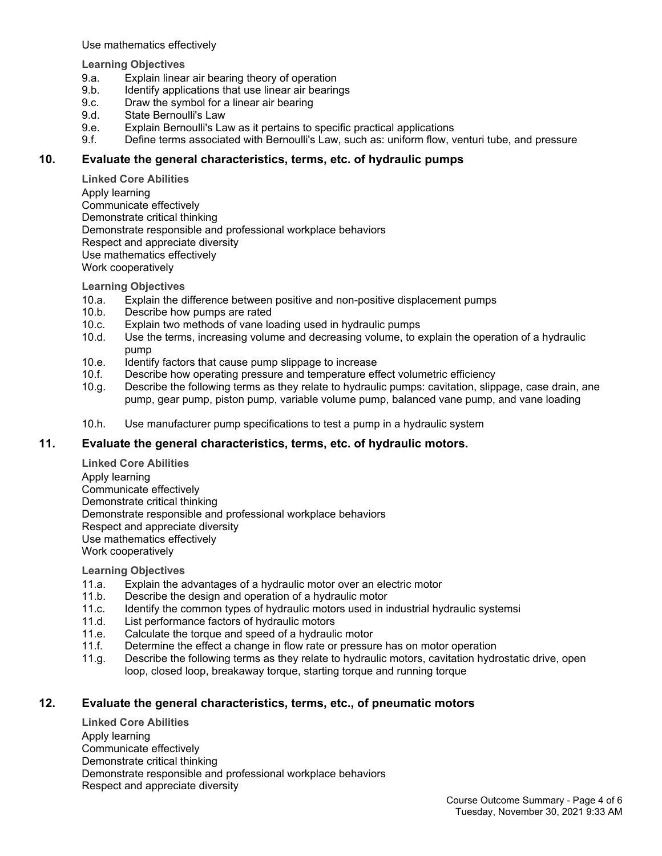Use mathematics effectively

**Learning Objectives**

- 9.a. Explain linear air bearing theory of operation
- 9.b. Identify applications that use linear air bearings
- 9.c. Draw the symbol for a linear air bearing
- 9.d. State Bernoulli's Law
- 9.e. Explain Bernoulli's Law as it pertains to specific practical applications
- 9.f. Define terms associated with Bernoulli's Law, such as: uniform flow, venturi tube, and pressure

#### **10. Evaluate the general characteristics, terms, etc. of hydraulic pumps**

**Linked Core Abilities** Apply learning Communicate effectively Demonstrate critical thinking Demonstrate responsible and professional workplace behaviors Respect and appreciate diversity Use mathematics effectively Work cooperatively

**Learning Objectives**

- 10.a. Explain the difference between positive and non-positive displacement pumps
- 10.b. Describe how pumps are rated
- 10.c. Explain two methods of vane loading used in hydraulic pumps
- 10.d. Use the terms, increasing volume and decreasing volume, to explain the operation of a hydraulic pump
- 10.e. Identify factors that cause pump slippage to increase
- 10.f. Describe how operating pressure and temperature effect volumetric efficiency
- 10.g. Describe the following terms as they relate to hydraulic pumps: cavitation, slippage, case drain, ane pump, gear pump, piston pump, variable volume pump, balanced vane pump, and vane loading
- 10.h. Use manufacturer pump specifications to test a pump in a hydraulic system

#### **11. Evaluate the general characteristics, terms, etc. of hydraulic motors.**

**Linked Core Abilities** Apply learning Communicate effectively Demonstrate critical thinking Demonstrate responsible and professional workplace behaviors Respect and appreciate diversity Use mathematics effectively Work cooperatively

**Learning Objectives**

- 11.a. Explain the advantages of a hydraulic motor over an electric motor
- 11.b. Describe the design and operation of a hydraulic motor
- 11.c. Identify the common types of hydraulic motors used in industrial hydraulic systemsi
- 11.d. List performance factors of hydraulic motors
- 11.e. Calculate the torque and speed of a hydraulic motor
- 11.f. Determine the effect a change in flow rate or pressure has on motor operation
- 11.g. Describe the following terms as they relate to hydraulic motors, cavitation hydrostatic drive, open loop, closed loop, breakaway torque, starting torque and running torque

## **12. Evaluate the general characteristics, terms, etc., of pneumatic motors**

**Linked Core Abilities** Apply learning Communicate effectively Demonstrate critical thinking Demonstrate responsible and professional workplace behaviors Respect and appreciate diversity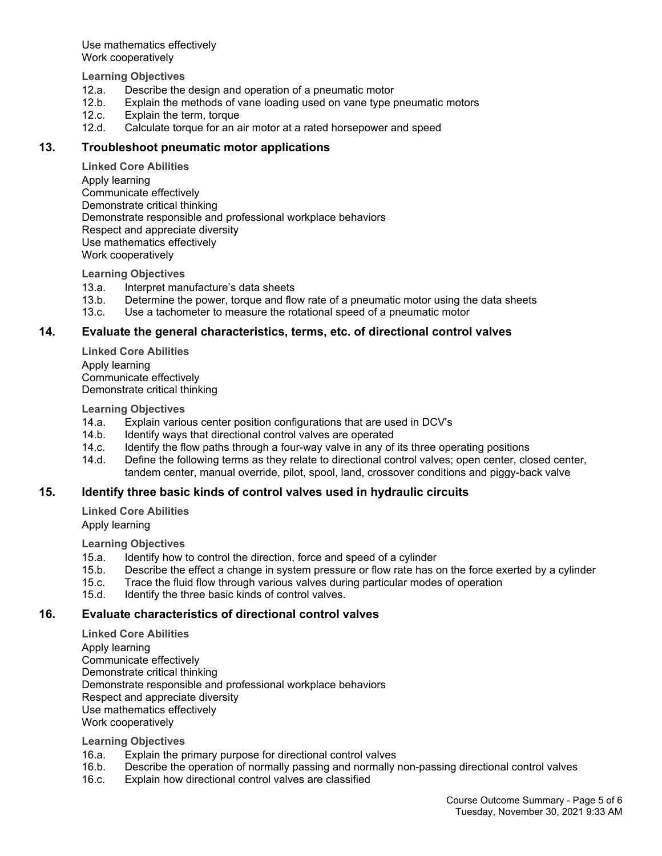Use mathematics effectively Work cooperatively

**Learning Objectives**

- 12.a. Describe the design and operation of a pneumatic motor
- 12.b. Explain the methods of vane loading used on vane type pneumatic motors
- 12.c. Explain the term, torque
- 12.d. Calculate torque for an air motor at a rated horsepower and speed

#### **13. Troubleshoot pneumatic motor applications**

**Linked Core Abilities** Apply learning Communicate effectively Demonstrate critical thinking Demonstrate responsible and professional workplace behaviors Respect and appreciate diversity Use mathematics effectively Work cooperatively

**Learning Objectives**

- 13.a. Interpret manufacture's data sheets
- 13.b. Determine the power, torque and flow rate of a pneumatic motor using the data sheets
- 13.c. Use a tachometer to measure the rotational speed of a pneumatic motor

#### **14. Evaluate the general characteristics, terms, etc. of directional control valves**

**Linked Core Abilities** Apply learning Communicate effectively Demonstrate critical thinking

**Learning Objectives**

- 14.a. Explain various center position configurations that are used in DCV's
- 14.b. Identify ways that directional control valves are operated
- 14.c. Identify the flow paths through a four-way valve in any of its three operating positions
- 14.d. Define the following terms as they relate to directional control valves; open center, closed center, tandem center, manual override, pilot, spool, land, crossover conditions and piggy-back valve

#### **15. Identify three basic kinds of control valves used in hydraulic circuits**

**Linked Core Abilities**

Apply learning

**Learning Objectives**

- 15.a. Identify how to control the direction, force and speed of a cylinder
- 15.b. Describe the effect a change in system pressure or flow rate has on the force exerted by a cylinder
- 15.c. Trace the fluid flow through various valves during particular modes of operation
- 15.d. Identify the three basic kinds of control valves.

#### **16. Evaluate characteristics of directional control valves**

**Linked Core Abilities** Apply learning Communicate effectively Demonstrate critical thinking Demonstrate responsible and professional workplace behaviors Respect and appreciate diversity Use mathematics effectively Work cooperatively

#### **Learning Objectives**

- 16.a. Explain the primary purpose for directional control valves
- 16.b. Describe the operation of normally passing and normally non-passing directional control valves
- 16.c. Explain how directional control valves are classified